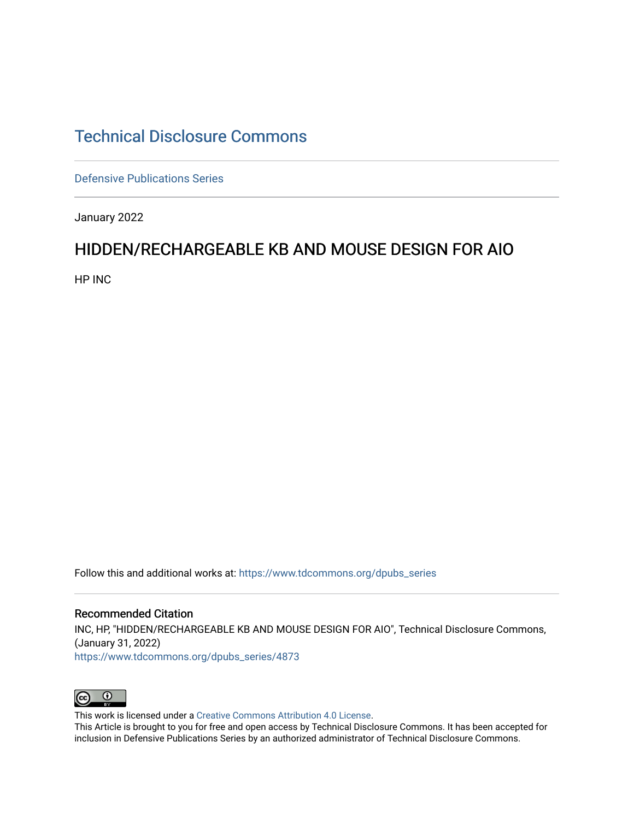## [Technical Disclosure Commons](https://www.tdcommons.org/)

[Defensive Publications Series](https://www.tdcommons.org/dpubs_series)

January 2022

## HIDDEN/RECHARGEABLE KB AND MOUSE DESIGN FOR AIO

HP INC

Follow this and additional works at: [https://www.tdcommons.org/dpubs\\_series](https://www.tdcommons.org/dpubs_series?utm_source=www.tdcommons.org%2Fdpubs_series%2F4873&utm_medium=PDF&utm_campaign=PDFCoverPages) 

Recommended Citation INC, HP, "HIDDEN/RECHARGEABLE KB AND MOUSE DESIGN FOR AIO", Technical Disclosure Commons, (January 31, 2022) [https://www.tdcommons.org/dpubs\\_series/4873](https://www.tdcommons.org/dpubs_series/4873?utm_source=www.tdcommons.org%2Fdpubs_series%2F4873&utm_medium=PDF&utm_campaign=PDFCoverPages)



This work is licensed under a [Creative Commons Attribution 4.0 License](http://creativecommons.org/licenses/by/4.0/deed.en_US).

This Article is brought to you for free and open access by Technical Disclosure Commons. It has been accepted for inclusion in Defensive Publications Series by an authorized administrator of Technical Disclosure Commons.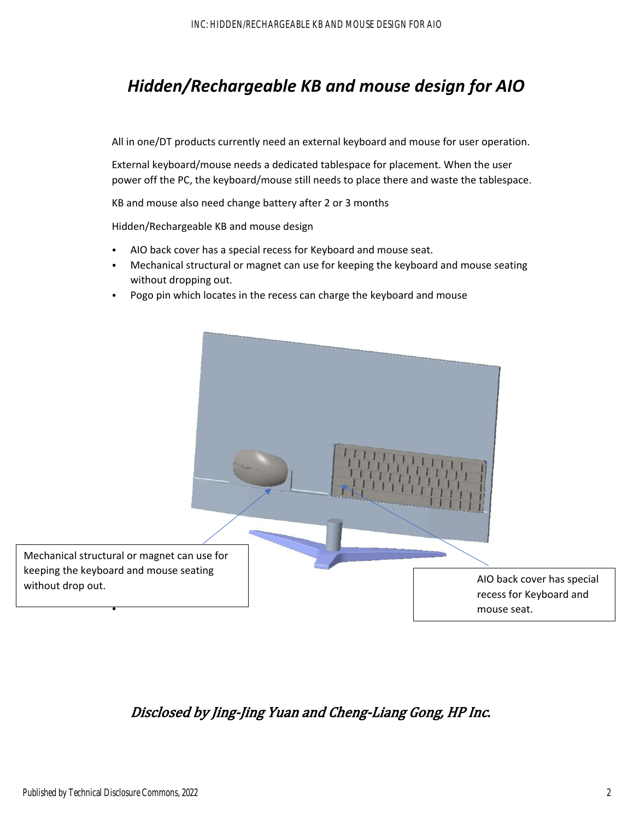## *Hidden/Rechargeable KB and mouse design for AIO*

All in one/DT products currently need an external keyboard and mouse for user operation.

External keyboard/mouse needs a dedicated tablespace for placement. When the user power off the PC, the keyboard/mouse still needs to place there and waste the tablespace.

KB and mouse also need change battery after 2 or 3 months

Hidden/Rechargeable KB and mouse design

- AIO back cover has a special recess for Keyboard and mouse seat.
- Mechanical structural or magnet can use for keeping the keyboard and mouse seating without dropping out.
- Pogo pin which locates in the recess can charge the keyboard and mouse



Disclosed by Jing-Jing Yuan and Cheng-Liang Gong, HP Inc.